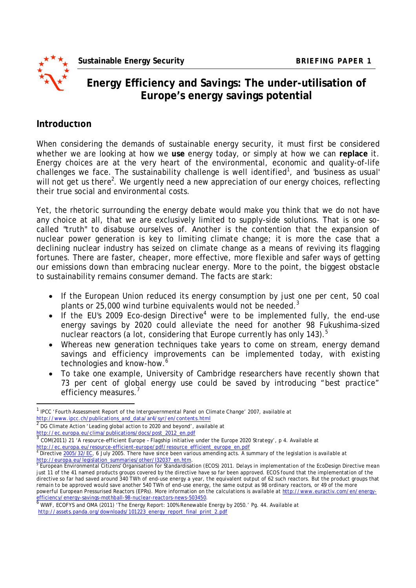

l

# **Energy Efficiency and Savings: The under-utilisation of Europe's energy savings potential**

### **Introduction**

When considering the demands of sustainable energy security, it must first be considered whether we are looking at how we **use** energy today, or simply at how we can **replace** it. Energy choices are at the very heart of the environmental, economic and quality-of-life challenges we face. The sustainability challenge is well identified<sup>1</sup>, and 'business as usual' will not get us there<sup>2</sup>. We urgently need a new appreciation of our energy choices, reflecting their true social and environmental costs.

Yet, the rhetoric surrounding the energy debate would make you think that we do not have any choice at all, that we are exclusively limited to supply-side solutions. That is one socalled "truth" to disabuse ourselves of. Another is the contention that the expansion of nuclear power generation is key to limiting climate change; it is more the case that a declining nuclear industry has seized on climate change as a means of reviving its flagging fortunes. There are faster, cheaper, more effective, more flexible and safer ways of getting our emissions down than embracing nuclear energy. More to the point, the biggest obstacle to sustainability remains consumer demand. The facts are stark:

- If the European Union reduced its energy consumption by just one per cent, 50 coal plants or 25,000 wind turbine equivalents would not be needed.<sup>3</sup>
- If the EU's 2009 Eco-design Directive<sup>4</sup> were to be implemented fully, the end-use energy savings by 2020 could alleviate the need for another 98 Fukushima-sized nuclear reactors (a lot, considering that Europe currently has only 143).<sup>5</sup>
- Whereas new generation techniques take years to come on stream, energy demand savings and efficiency improvements can be implemented today, with existing technologies and know-how.<sup>6</sup>
- To take one example, University of Cambridge researchers have recently shown that 73 per cent of global energy use could be saved by introducing "best practice" efficiency measures.'

 $^{\rm 1}$  IPCC 'Fourth Assessment Report of the Intergovernmental Panel on Climate Change' 2007, available at http://www.ipcc.ch/publications\_and\_data/ar4/syr/en/contents.html

<sup>2</sup> DG Climate Action 'Leading global action to 2020 and beyond', available at http://ec.europa.eu/clima/publications/docs/post\_2012\_en.pdf

<sup>&</sup>lt;sup>3</sup> COM(2011) 21 'A resource-efficient Europe - Flagship initiative under the Europe 2020 Strategy', p 4. Available at

<sup>&</sup>lt;u>http://ec.europa.eu/resource-efficient-europe/pdf/resource\_efficient\_europe\_en.pdf</u><br><sup>4</sup> Directive <u>2005/32/EC</u>, 6 July 2005. There have since been various amending acts. A summary of the legislation is available at

<sup>&</sup>lt;u>http://europa.eu/legislation\_summaries/other/132037\_en.htm</u>.<br><sup>5</sup> European Environmental Citizens' Organisation for Standardisation (ECOS) 2011. Delays in implementation of the EcoDesign Directive mean just 11 of the 41 named products groups covered by the directive have so far been approved. ECOS found that the implementation of the directive so far had saved around 340 TWh of end-use energy a year, the equivalent output of 62 such reactors. But the product groups that remain to be approved would save another 540 TWh of end-use energy, the same output as 98 ordinary reactors, or 49 of the more powerful European Pressurised Reactors (EPRs). More information on the calculations is available at http://www.euractiv.com/en/energyefficiency/energy-savings-mothball-98-nuclear-reactors-news-503450.<br>
WINE FORMS - LOW (2003)

<sup>6</sup> WWF, ECOFYS and OMA (2011) 'The Energy Report: 100% Renewable Energy by 2050.' Pg. 44. Available at http://assets.panda.org/downloads/101223\_energy\_report\_final\_print\_2.pdf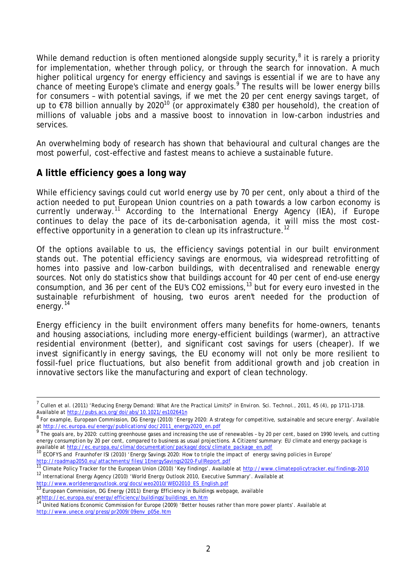While demand reduction is often mentioned alongside supply security,<sup>8</sup> it is rarely a priority for implementation, whether through policy, or through the search for innovation. A much higher political urgency for energy efficiency and savings is essential if we are to have any chance of meeting Europe's climate and energy goals.<sup>9</sup> The results will be lower energy bills for consumers - with potential savings, if we met the 20 per cent energy savings target, of up to €78 billion annually by 2020<sup>10</sup> (or approximately €380 per household), the creation of millions of valuable jobs and a massive boost to innovation in low-carbon industries and services.

An overwhelming body of research has shown that behavioural and cultural changes are the most powerful, cost-effective and fastest means to achieve a sustainable future.

## **A little efficiency goes a long way**

While efficiency savings could cut world energy use by 70 per cent, only about a third of the action needed to put European Union countries on a path towards a low carbon economy is currently underway.<sup>11</sup> According to the International Energy Agency (IEA), if Europe continues to delay the pace of its de-carbonisation agenda, it will miss the most costeffective opportunity in a generation to clean up its infrastructure.<sup>12</sup>

Of the options available to us, the efficiency savings potential in our built environment stands out. The potential efficiency savings are enormous, via widespread retrofitting of homes into passive and low-carbon buildings, with decentralised and renewable energy sources. Not only do statistics show that buildings account for 40 per cent of end-use energy consumption, and 36 per cent of the EU's CO2 emissions,  $13$  but for every euro invested in the sustainable refurbishment of housing, two euros *aren't* needed for the production of energy.<sup>14</sup>

Energy efficiency in the built environment offers many benefits for home-owners, tenants and housing associations, including more energy-efficient buildings (warmer), an attractive residential environment (better), and significant cost savings for users (cheaper). If we invest significantly in energy savings, the EU economy will not only be more resilient to fossil-fuel price fluctuations, but also benefit from additional growth and job creation in innovative sectors like the manufacturing and export of clean technology.

http://www.worldenergyoutlook.org/docs/weo2010/WEO2010\_ES\_English.pdf<br>13 Europeanse Quality of Line Case of Contract of Case of Case of Case of Case of Case of Case of Case of Case<br>13 Europeanse Quality of Case of Case of

European Commission, DG Energy (2011) Energy Efficiency in Buildings webpage, available

<sup>7</sup> Cullen et al. (2011) 'Reducing Energy Demand: What Are the Practical Limits?' in *Environ. Sci. Technol.*, 2011, 45 (4), pp 1711–1718. Available at http://pubs.acs.org/doi/abs/10.1021/es102641n

 $^8$  For example, European Commission, DG Energy (2010) 'Energy 2020: A strategy for competitive, sustainable and secure energy'. Available

at <u>http://ec.europa.eu/energy/publications/doc/2011\_energy2020\_en.pdf</u><br><sup>9</sup> The goals are, by 2020: cutting greenhouse gases and increasing the use of renewables - by 20 per cent, based on 1990 levels, and cutting energy consumption by 20 per cent, compared to business as usual projections. A Citizens' summary: EU climate and energy package is available at http://ec.europa.eu/clima/documentation/package/docs/climate\_package\_en.pdf

<sup>10</sup> ECOFYS and Fraunhofer ISI (2010) 'Energy Savings 2020: How to triple the impact of energy saving policies in Europe' http://roadmap2050.eu/attachments/files/1EnergySavings2020-FullReport.pdf

Climate Policy Tracker for the European Union (2010) 'Key findings'. Available at http://www.climatepolicytracker.eu/findings-2010 <sup>12</sup> International Energy Agency (2010) 'World Energy Outlook 2010, Executive Summary'. Available at

at<u>http://ec.europa.eu/energy/efficiency/buildings/buildings\_en.htm</u><br><sup>14</sup> United Nations Economic Commission for Europe (2009) 'Better houses rather than more power plants'. Available at http://www.unece.org/press/pr2009/09env\_p05e.htm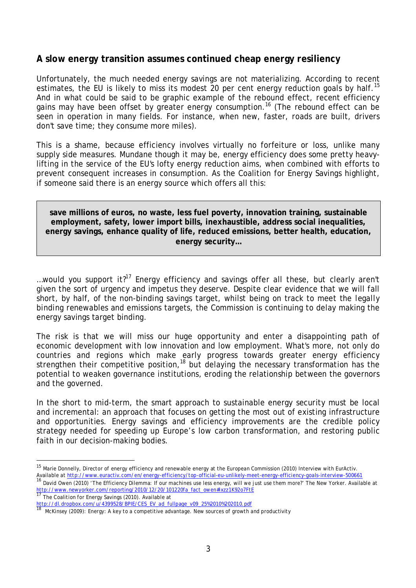#### **A slow energy transition assumes continued cheap energy resiliency**

Unfortunately, the much needed energy savings are not materializing. According to recent estimates, the EU is likely to miss its modest 20 per cent energy reduction goals by half.<sup>15</sup> And in what could be said to be graphic example of the rebound effect, recent efficiency gains may have been offset by greater energy consumption.<sup>16</sup> (The rebound effect can be seen in operation in many fields. For instance, when new, faster, roads are built, drivers don't save time; they consume more miles).

This is a shame, because efficiency involves virtually no forfeiture or loss, unlike many supply side measures. Mundane though it may be, energy efficiency does some pretty heavylifting in the service of the EU's lofty energy reduction aims, when combined with efforts to prevent consequent increases in consumption. As the Coalition for Energy Savings highlight, if someone said there is an energy source which offers all this:

#### **save millions of euros, no waste, less fuel poverty, innovation training, sustainable employment, safety, lower import bills, inexhaustible, address social inequalities, energy savings, enhance quality of life, reduced emissions, better health, education, energy security…**

... would you support it?<sup>17</sup> Energy efficiency and savings offer all these, but clearly aren't given the sort of urgency and impetus they deserve. Despite clear evidence that we will fall short, by half, of the *non-binding* savings target, whilst being on track to meet the *legally binding* renewables and emissions targets, the Commission is continuing to delay making the energy savings target binding.

The risk is that we will miss our huge opportunity and enter a disappointing path of economic development with low innovation and low employment. What's more, not only do countries and regions which make early progress towards greater energy efficiency strengthen their competitive position,<sup>18</sup> but delaying the necessary transformation has the potential to weaken governance institutions, eroding the relationship between the governors and the governed.

In the short to mid-term, the smart approach to sustainable energy security must be local and incremental: an approach that focuses on getting the most out of existing infrastructure and opportunities. Energy savings and efficiency improvements are the credible policy strategy needed for speeding up Europe's low carbon transformation, and restoring public faith in our decision-making bodies.

l

<sup>&</sup>lt;sup>15</sup> Marie Donnelly, Director of energy efficiency and renewable energy at the European Commission (2010) Interview with EurActiv. Available at http://www.euractiv.com/en/energy-efficiency/top-official-eu-unlikely-meet-energy-efficiency-goals-interview-500661<br><sup>16</sup> Published (2000) The FCC interview-

David Owen (2010) 'The Efficiency Dilemma: If our machines use less energy, will we just use them more?' The New Yorker. Available at http://www.newyorker.com/reporting/2010/12/20/101220fa\_fact\_owen#ixzz1K92o7FtE<br>17 The Coelistic Scotter Communication of the Scotter of True Coelistic Scotter Coelistic Scotter of

The Coalition for Energy Savings (2010). Available at

http://dl.dropbox.com/u/4399528/BPIE/CES\_EV\_ad\_fullpage\_v09\_25%2010%202010.pdf

<sup>18</sup> McKinsey (2009): Energy: A key to a competitive advantage. New sources of growth and productivity